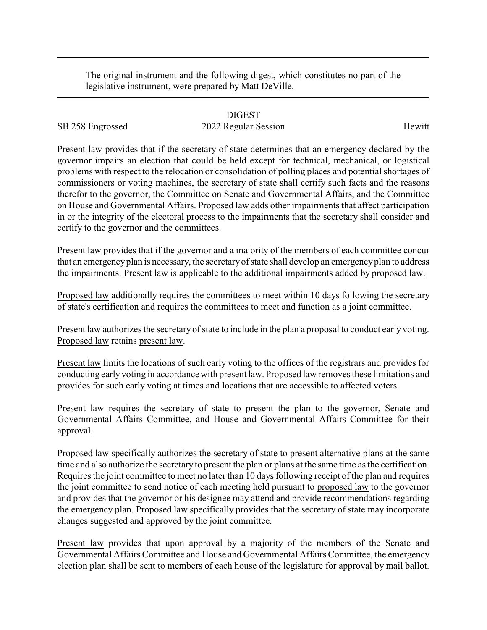The original instrument and the following digest, which constitutes no part of the legislative instrument, were prepared by Matt DeVille.

## DIGEST

SB 258 Engrossed 2022 Regular Session Hewitt

Present law provides that if the secretary of state determines that an emergency declared by the governor impairs an election that could be held except for technical, mechanical, or logistical problems with respect to the relocation or consolidation of polling places and potential shortages of commissioners or voting machines, the secretary of state shall certify such facts and the reasons therefor to the governor, the Committee on Senate and Governmental Affairs, and the Committee on House and Governmental Affairs. Proposed law adds other impairments that affect participation in or the integrity of the electoral process to the impairments that the secretary shall consider and certify to the governor and the committees.

Present law provides that if the governor and a majority of the members of each committee concur that an emergencyplan is necessary, the secretaryof state shall develop an emergencyplan to address the impairments. Present law is applicable to the additional impairments added by proposed law.

Proposed law additionally requires the committees to meet within 10 days following the secretary of state's certification and requires the committees to meet and function as a joint committee.

Present law authorizes the secretary of state to include in the plan a proposal to conduct early voting. Proposed law retains present law.

Present law limits the locations of such early voting to the offices of the registrars and provides for conducting early voting in accordance with present law. Proposed law removes these limitations and provides for such early voting at times and locations that are accessible to affected voters.

Present law requires the secretary of state to present the plan to the governor, Senate and Governmental Affairs Committee, and House and Governmental Affairs Committee for their approval.

Proposed law specifically authorizes the secretary of state to present alternative plans at the same time and also authorize the secretary to present the plan or plans at the same time as the certification. Requires the joint committee to meet no later than 10 days following receipt of the plan and requires the joint committee to send notice of each meeting held pursuant to proposed law to the governor and provides that the governor or his designee may attend and provide recommendations regarding the emergency plan. Proposed law specifically provides that the secretary of state may incorporate changes suggested and approved by the joint committee.

Present law provides that upon approval by a majority of the members of the Senate and Governmental Affairs Committee and House and Governmental Affairs Committee, the emergency election plan shall be sent to members of each house of the legislature for approval by mail ballot.